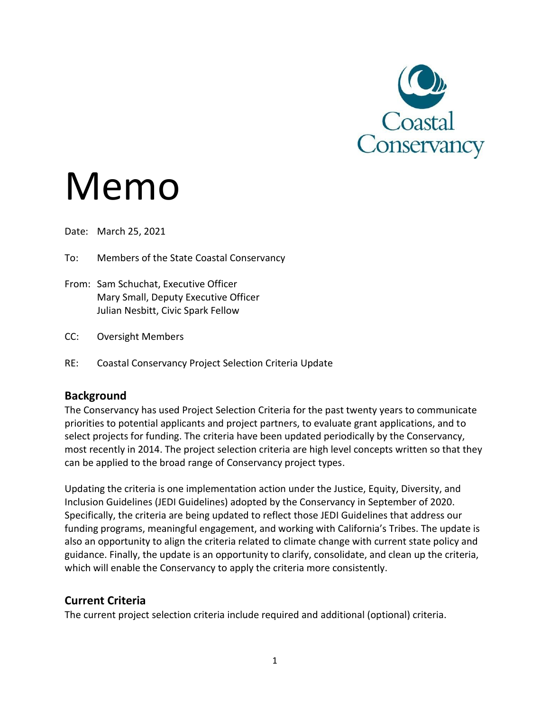

# Memo

Date: March 25, 2021

To: Members of the State Coastal Conservancy

- From: Sam Schuchat, Executive Officer Mary Small, Deputy Executive Officer Julian Nesbitt, Civic Spark Fellow
- CC: Oversight Members
- RE: Coastal Conservancy Project Selection Criteria Update

## **Background**

The Conservancy has used Project Selection Criteria for the past twenty years to communicate priorities to potential applicants and project partners, to evaluate grant applications, and to select projects for funding. The criteria have been updated periodically by the Conservancy, most recently in 2014. The project selection criteria are high level concepts written so that they can be applied to the broad range of Conservancy project types.

Updating the criteria is one implementation action under the Justice, Equity, Diversity, and Inclusion Guidelines (JEDI Guidelines) adopted by the Conservancy in September of 2020. Specifically, the criteria are being updated to reflect those JEDI Guidelines that address our funding programs, meaningful engagement, and working with California's Tribes. The update is also an opportunity to align the criteria related to climate change with current state policy and guidance. Finally, the update is an opportunity to clarify, consolidate, and clean up the criteria, which will enable the Conservancy to apply the criteria more consistently.

## **Current Criteria**

The current project selection criteria include required and additional (optional) criteria.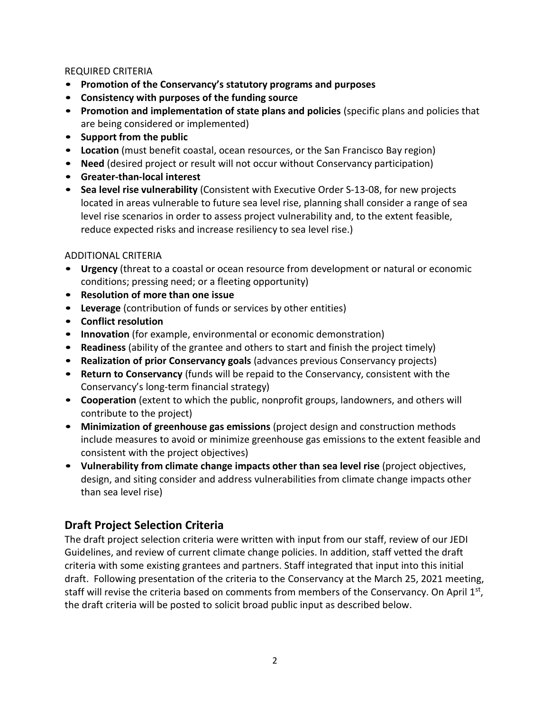### REQUIRED CRITERIA

- **Promotion of the Conservancy's statutory programs and purposes**
- **Consistency with purposes of the funding source**
- **Promotion and implementation of state plans and policies** (specific plans and policies that are being considered or implemented)
- **Support from the public**
- **Location** (must benefit coastal, ocean resources, or the San Francisco Bay region)
- **Need** (desired project or result will not occur without Conservancy participation)
- **Greater-than-local interest**
- **Sea level rise vulnerability** (Consistent with Executive Order S-13-08, for new projects located in areas vulnerable to future sea level rise, planning shall consider a range of sea level rise scenarios in order to assess project vulnerability and, to the extent feasible, reduce expected risks and increase resiliency to sea level rise.)

#### ADDITIONAL CRITERIA

- **Urgency** (threat to a coastal or ocean resource from development or natural or economic conditions; pressing need; or a fleeting opportunity)
- **Resolution of more than one issue**
- **Leverage** (contribution of funds or services by other entities)
- **Conflict resolution**
- **Innovation** (for example, environmental or economic demonstration)
- **Readiness** (ability of the grantee and others to start and finish the project timely)
- **Realization of prior Conservancy goals** (advances previous Conservancy projects)
- **Return to Conservancy** (funds will be repaid to the Conservancy, consistent with the Conservancy's long-term financial strategy)
- **Cooperation** (extent to which the public, nonprofit groups, landowners, and others will contribute to the project)
- **Minimization of greenhouse gas emissions** (project design and construction methods include measures to avoid or minimize greenhouse gas emissions to the extent feasible and consistent with the project objectives)
- **Vulnerability from climate change impacts other than sea level rise** (project objectives, design, and siting consider and address vulnerabilities from climate change impacts other than sea level rise)

## **Draft Project Selection Criteria**

The draft project selection criteria were written with input from our staff, review of our JEDI Guidelines, and review of current climate change policies. In addition, staff vetted the draft criteria with some existing grantees and partners. Staff integrated that input into this initial draft. Following presentation of the criteria to the Conservancy at the March 25, 2021 meeting, staff will revise the criteria based on comments from members of the Conservancy. On April 1<sup>st</sup>, the draft criteria will be posted to solicit broad public input as described below.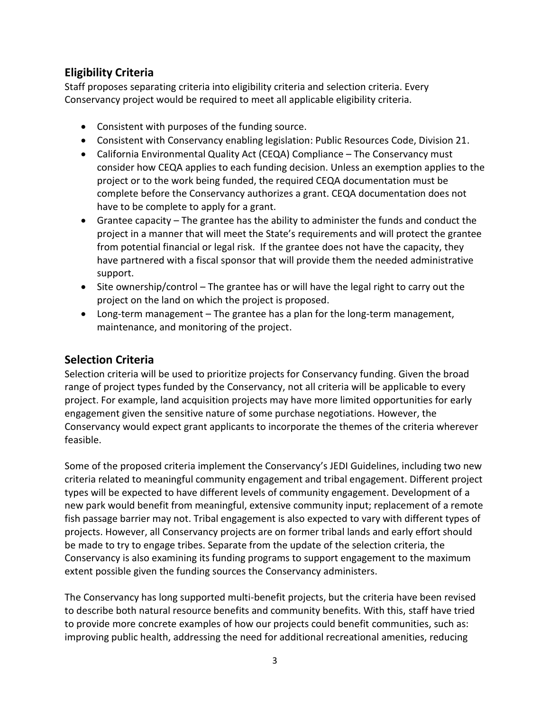# **Eligibility Criteria**

Staff proposes separating criteria into eligibility criteria and selection criteria. Every Conservancy project would be required to meet all applicable eligibility criteria.

- Consistent with purposes of the funding source.
- Consistent with Conservancy enabling legislation: Public Resources Code, Division 21.
- California Environmental Quality Act (CEQA) Compliance The Conservancy must consider how CEQA applies to each funding decision. Unless an exemption applies to the project or to the work being funded, the required CEQA documentation must be complete before the Conservancy authorizes a grant. CEQA documentation does not have to be complete to apply for a grant.
- Grantee capacity The grantee has the ability to administer the funds and conduct the project in a manner that will meet the State's requirements and will protect the grantee from potential financial or legal risk. If the grantee does not have the capacity, they have partnered with a fiscal sponsor that will provide them the needed administrative support.
- Site ownership/control The grantee has or will have the legal right to carry out the project on the land on which the project is proposed.
- Long-term management The grantee has a plan for the long-term management, maintenance, and monitoring of the project.

# **Selection Criteria**

Selection criteria will be used to prioritize projects for Conservancy funding. Given the broad range of project types funded by the Conservancy, not all criteria will be applicable to every project. For example, land acquisition projects may have more limited opportunities for early engagement given the sensitive nature of some purchase negotiations. However, the Conservancy would expect grant applicants to incorporate the themes of the criteria wherever feasible.

Some of the proposed criteria implement the Conservancy's JEDI Guidelines, including two new criteria related to meaningful community engagement and tribal engagement. Different project types will be expected to have different levels of community engagement. Development of a new park would benefit from meaningful, extensive community input; replacement of a remote fish passage barrier may not. Tribal engagement is also expected to vary with different types of projects. However, all Conservancy projects are on former tribal lands and early effort should be made to try to engage tribes. Separate from the update of the selection criteria, the Conservancy is also examining its funding programs to support engagement to the maximum extent possible given the funding sources the Conservancy administers.

The Conservancy has long supported multi-benefit projects, but the criteria have been revised to describe both natural resource benefits and community benefits. With this, staff have tried to provide more concrete examples of how our projects could benefit communities, such as: improving public health, addressing the need for additional recreational amenities, reducing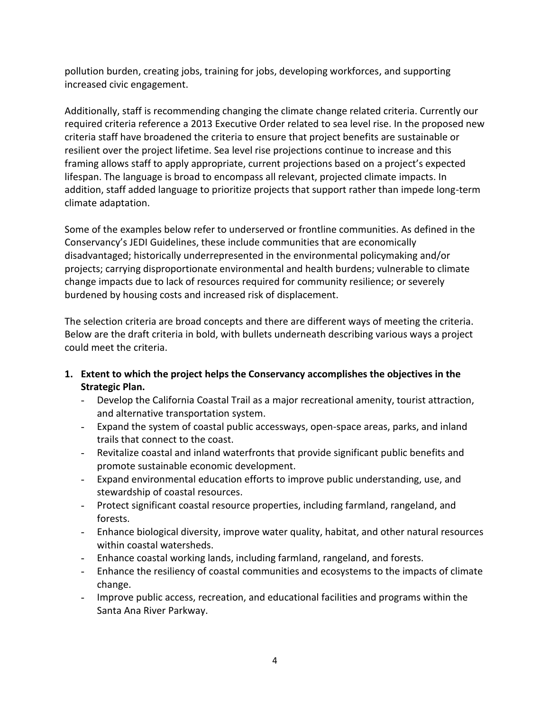pollution burden, creating jobs, training for jobs, developing workforces, and supporting increased civic engagement.

Additionally, staff is recommending changing the climate change related criteria. Currently our required criteria reference a 2013 Executive Order related to sea level rise. In the proposed new criteria staff have broadened the criteria to ensure that project benefits are sustainable or resilient over the project lifetime. Sea level rise projections continue to increase and this framing allows staff to apply appropriate, current projections based on a project's expected lifespan. The language is broad to encompass all relevant, projected climate impacts. In addition, staff added language to prioritize projects that support rather than impede long-term climate adaptation.

Some of the examples below refer to underserved or frontline communities. As defined in the Conservancy's JEDI Guidelines, these include communities that are economically disadvantaged; historically underrepresented in the environmental policymaking and/or projects; carrying disproportionate environmental and health burdens; vulnerable to climate change impacts due to lack of resources required for community resilience; or severely burdened by housing costs and increased risk of displacement.

The selection criteria are broad concepts and there are different ways of meeting the criteria. Below are the draft criteria in bold, with bullets underneath describing various ways a project could meet the criteria.

- **1. Extent to which the project helps the Conservancy accomplishes the objectives in the Strategic Plan.**
	- Develop the California Coastal Trail as a major recreational amenity, tourist attraction, and alternative transportation system.
	- Expand the system of coastal public accessways, open-space areas, parks, and inland trails that connect to the coast.
	- Revitalize coastal and inland waterfronts that provide significant public benefits and promote sustainable economic development.
	- Expand environmental education efforts to improve public understanding, use, and stewardship of coastal resources.
	- Protect significant coastal resource properties, including farmland, rangeland, and forests.
	- Enhance biological diversity, improve water quality, habitat, and other natural resources within coastal watersheds.
	- Enhance coastal working lands, including farmland, rangeland, and forests.
	- Enhance the resiliency of coastal communities and ecosystems to the impacts of climate change.
	- Improve public access, recreation, and educational facilities and programs within the Santa Ana River Parkway.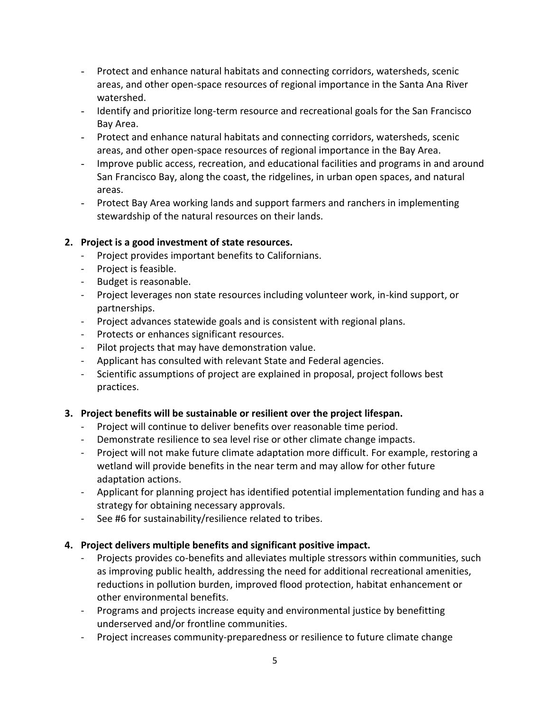- Protect and enhance natural habitats and connecting corridors, watersheds, scenic areas, and other open-space resources of regional importance in the Santa Ana River watershed.
- Identify and prioritize long-term resource and recreational goals for the San Francisco Bay Area.
- Protect and enhance natural habitats and connecting corridors, watersheds, scenic areas, and other open-space resources of regional importance in the Bay Area.
- Improve public access, recreation, and educational facilities and programs in and around San Francisco Bay, along the coast, the ridgelines, in urban open spaces, and natural areas.
- Protect Bay Area working lands and support farmers and ranchers in implementing stewardship of the natural resources on their lands.

## **2. Project is a good investment of state resources.**

- Project provides important benefits to Californians.
- Project is feasible.
- Budget is reasonable.
- Project leverages non state resources including volunteer work, in-kind support, or partnerships.
- Project advances statewide goals and is consistent with regional plans.
- Protects or enhances significant resources.
- Pilot projects that may have demonstration value.
- Applicant has consulted with relevant State and Federal agencies.
- Scientific assumptions of project are explained in proposal, project follows best practices.

## **3. Project benefits will be sustainable or resilient over the project lifespan.**

- Project will continue to deliver benefits over reasonable time period.
- Demonstrate resilience to sea level rise or other climate change impacts.
- Project will not make future climate adaptation more difficult. For example, restoring a wetland will provide benefits in the near term and may allow for other future adaptation actions.
- Applicant for planning project has identified potential implementation funding and has a strategy for obtaining necessary approvals.
- See #6 for sustainability/resilience related to tribes.

## **4. Project delivers multiple benefits and significant positive impact.**

- Projects provides co-benefits and alleviates multiple stressors within communities, such as improving public health, addressing the need for additional recreational amenities, reductions in pollution burden, improved flood protection, habitat enhancement or other environmental benefits.
- Programs and projects increase equity and environmental justice by benefitting underserved and/or frontline communities.
- Project increases community-preparedness or resilience to future climate change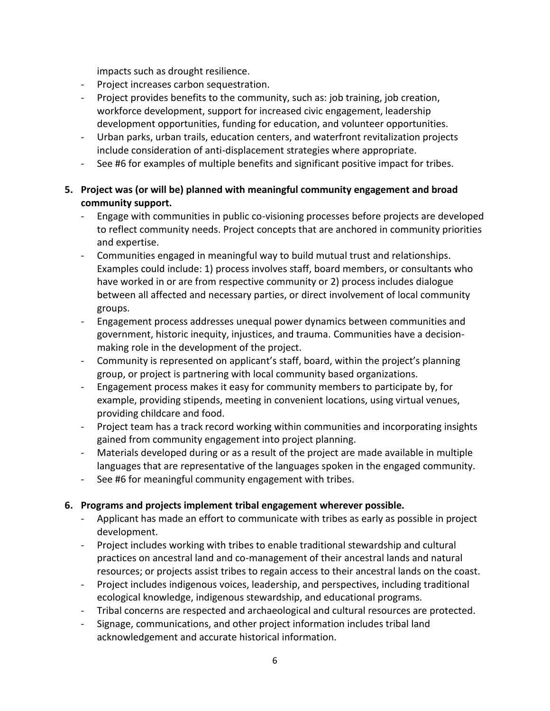impacts such as drought resilience.

- Project increases carbon sequestration.
- Project provides benefits to the community, such as: job training, job creation, workforce development, support for increased civic engagement, leadership development opportunities, funding for education, and volunteer opportunities.
- Urban parks, urban trails, education centers, and waterfront revitalization projects include consideration of anti-displacement strategies where appropriate.
- See #6 for examples of multiple benefits and significant positive impact for tribes.
- **5. Project was (or will be) planned with meaningful community engagement and broad community support.**
	- Engage with communities in public co-visioning processes before projects are developed to reflect community needs. Project concepts that are anchored in community priorities and expertise.
	- Communities engaged in meaningful way to build mutual trust and relationships. Examples could include: 1) process involves staff, board members, or consultants who have worked in or are from respective community or 2) process includes dialogue between all affected and necessary parties, or direct involvement of local community groups.
	- Engagement process addresses unequal power dynamics between communities and government, historic inequity, injustices, and trauma. Communities have a decisionmaking role in the development of the project.
	- Community is represented on applicant's staff, board, within the project's planning group, or project is partnering with local community based organizations.
	- Engagement process makes it easy for community members to participate by, for example, providing stipends, meeting in convenient locations, using virtual venues, providing childcare and food.
	- Project team has a track record working within communities and incorporating insights gained from community engagement into project planning.
	- Materials developed during or as a result of the project are made available in multiple languages that are representative of the languages spoken in the engaged community.
	- See #6 for meaningful community engagement with tribes.

## **6. Programs and projects implement tribal engagement wherever possible.**

- Applicant has made an effort to communicate with tribes as early as possible in project development.
- Project includes working with tribes to enable traditional stewardship and cultural practices on ancestral land and co-management of their ancestral lands and natural resources; or projects assist tribes to regain access to their ancestral lands on the coast.
- Project includes indigenous voices, leadership, and perspectives, including traditional ecological knowledge, indigenous stewardship, and educational programs.
- Tribal concerns are respected and archaeological and cultural resources are protected.
- Signage, communications, and other project information includes tribal land acknowledgement and accurate historical information.